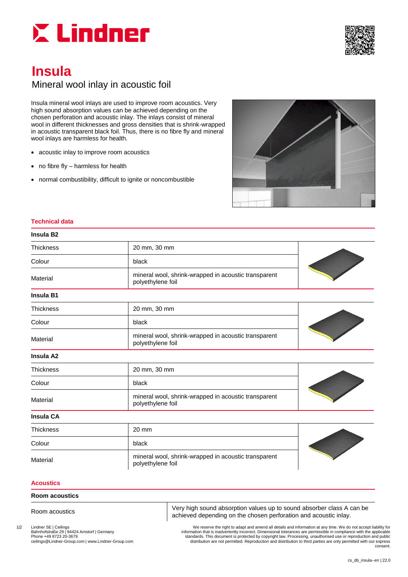



# **Insula**

## Mineral wool inlay in acoustic foil

Insula mineral wool inlays are used to improve room acoustics. Very high sound absorption values can be achieved depending on the chosen perforation and acoustic inlay. The inlays consist of mineral wool in different thicknesses and gross densities that is shrink-wrapped in acoustic transparent black foil. Thus, there is no fibre fly and mineral wool inlays are harmless for health.

- acoustic inlay to improve room acoustics
- no fibre fly harmless for health
- normal combustibility, difficult to ignite or noncombustible



#### **Technical data**

| Insula B2 |  |
|-----------|--|
|-----------|--|

| <b>Thickness</b>      | 20 mm, 30 mm                                                              |  |  |  |
|-----------------------|---------------------------------------------------------------------------|--|--|--|
| Colour                | black                                                                     |  |  |  |
| Material              | mineral wool, shrink-wrapped in acoustic transparent<br>polyethylene foil |  |  |  |
| Insula B1             |                                                                           |  |  |  |
| <b>Thickness</b>      | 20 mm, 30 mm                                                              |  |  |  |
| Colour                | black                                                                     |  |  |  |
| Material              | mineral wool, shrink-wrapped in acoustic transparent<br>polyethylene foil |  |  |  |
| Insula A <sub>2</sub> |                                                                           |  |  |  |
| <b>Thickness</b>      | 20 mm, 30 mm                                                              |  |  |  |
| Colour                | black                                                                     |  |  |  |
| Material              | mineral wool, shrink-wrapped in acoustic transparent<br>polyethylene foil |  |  |  |
| <b>Insula CA</b>      |                                                                           |  |  |  |
| <b>Thickness</b>      | 20 mm                                                                     |  |  |  |
| Colour                | black                                                                     |  |  |  |
| Material              | mineral wool, shrink-wrapped in acoustic transparent<br>polyethylene foil |  |  |  |

#### **Acoustics**

#### **Room acoustics**

Room acoustics Very high sound absorption values up to sound absorber class A can be achieved depending on the chosen perforation and acoustic inlay.

1|2 Lindner SE | Ceilings<br>Bahnhofstraße 29 | 94424 Arnstorf | Germany **1986**<br>Information that is inadvertently incorrect. Dimensional tolerances are permissible in compliance with the applicable<br>Phone +49 8723 20-3679 70-1 Bahnhofstraße 29 | 94424 Arnstorf | Germany | Camany | information that is inadvertently incorrect. Dimensional tolerances are permissible in compliance with the applicable<br>Chone +49 8723 20-3679 Phone 1990 examples and pu ceilings@Lindner-Group.com | www.Lindner-Group.com distribution are not permitted. Reproduction and distribution to third parties are only permitted with our express consent.